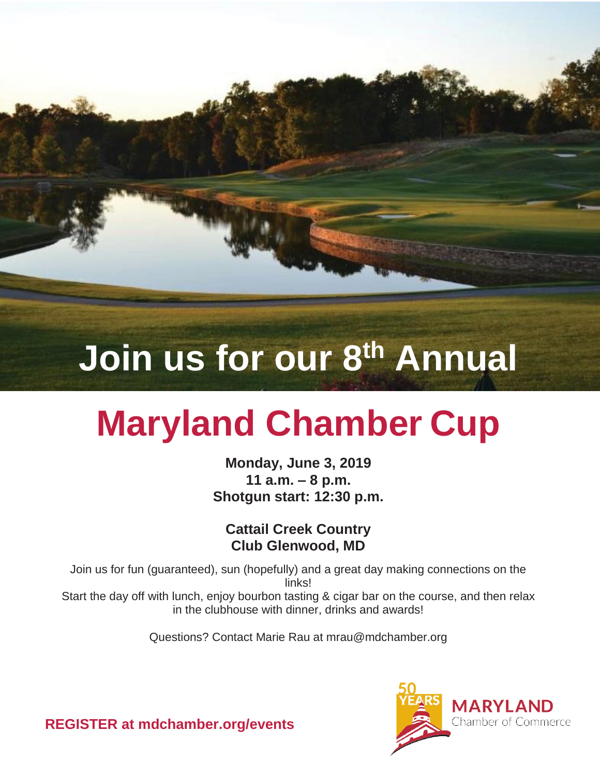**Join us for our 8th Annual**

# **Maryland Chamber Cup**

**Monday, June 3, 2019 11 a.m. – 8 p.m. Shotgun start: 12:30 p.m.**

**Cattail Creek Country Club Glenwood, MD**

Join us for fun (guaranteed), sun (hopefully) and a great day making connections on the links! Start the day off with lunch, enjoy bourbon tasting & cigar bar on the course, and then relax in the clubhouse with dinner, drinks and awards!

Questions? Contact Marie Rau at mrau@mdchamber.org



**REGISTER at mdchamber.org/events**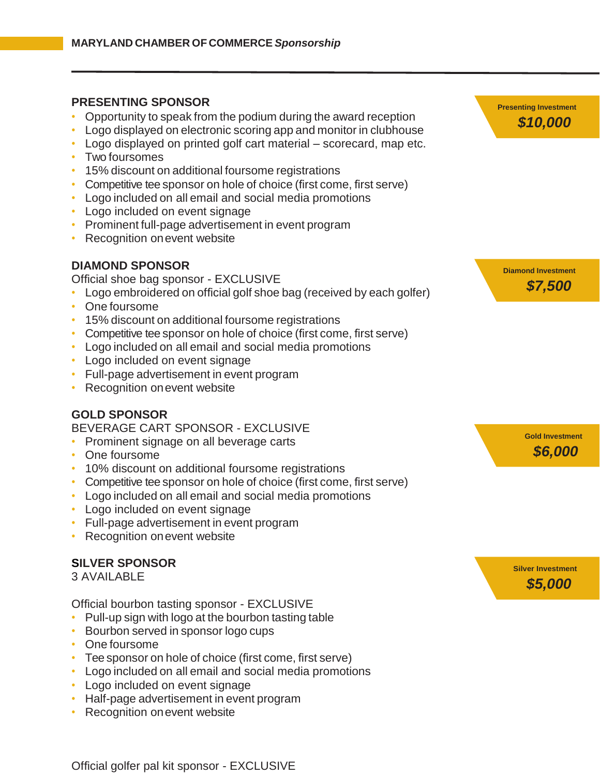### **PRESENTING SPONSOR**

- Opportunity to speak from the podium during the award reception
- Logo displayed on electronic scoring app and monitor in clubhouse
- Logo displayed on printed golf cart material scorecard, map etc.
- Two foursomes
- 15% discount on additional foursome registrations
- Competitive tee sponsor on hole of choice (first come, first serve)
- Logo included on all email and social media promotions
- Logo included on event signage
- Prominent full-page advertisement in event program
- Recognition on event website

# **DIAMOND SPONSOR**

Official shoe bag sponsor - EXCLUSIVE

- Logo embroidered on official golf shoe bag (received by each golfer)
- One foursome
- 15% discount on additional foursome registrations
- Competitive tee sponsor on hole of choice (first come, first serve)
- Logo included on all email and social media promotions
- Logo included on event signage
- Full-page advertisement in event program
- Recognition on event website

# **GOLD SPONSOR**

#### BEVERAGE CART SPONSOR - EXCLUSIVE

- Prominent signage on all beverage carts
- One foursome
- 10% discount on additional foursome registrations
- Competitive tee sponsor on hole of choice (first come, first serve)
- Logo included on all email and social media promotions
- Logo included on event signage
- Full-page advertisement in event program
- Recognition on event website

# **SILVER SPONSOR**

3 AVAILABLE

Official bourbon tasting sponsor - EXCLUSIVE

- Pull-up sign with logo at the bourbon tasting table
- Bourbon served in sponsor logo cups
- One foursome
- Tee sponsor on hole of choice (first come, first serve)
- Logo included on all email and social media promotions
- Logo included on event signage
- Half-page advertisement in event program
- Recognition on event website



**Diamond Investment** *\$7,500*

> **Gold Investment** *\$6,000*

 **Silver Investment** *\$5,000*